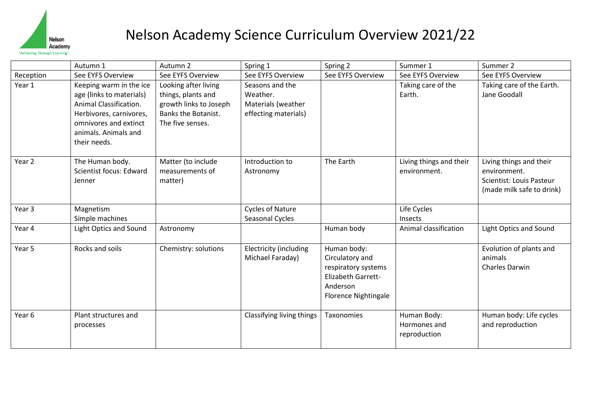

|                   | Autumn 1                                                                                                                                                                  | Autumn 2                                                                                                               | Spring 1                                                                  | Spring 2                                                                                                               | Summer 1                                    | Summer 2                                                                                         |
|-------------------|---------------------------------------------------------------------------------------------------------------------------------------------------------------------------|------------------------------------------------------------------------------------------------------------------------|---------------------------------------------------------------------------|------------------------------------------------------------------------------------------------------------------------|---------------------------------------------|--------------------------------------------------------------------------------------------------|
| Reception         | See EYFS Overview                                                                                                                                                         | See EYFS Overview                                                                                                      | See EYFS Overview                                                         | See EYFS Overview                                                                                                      | See EYFS Overview                           | See EYFS Overview                                                                                |
| Year 1            | Keeping warm in the ice<br>age (links to materials)<br>Animal Classification.<br>Herbivores, carnivores,<br>omnivores and extinct<br>animals. Animals and<br>their needs. | Looking after living<br>things, plants and<br>growth links to Joseph<br><b>Banks the Botanist.</b><br>The five senses. | Seasons and the<br>Weather.<br>Materials (weather<br>effecting materials) |                                                                                                                        | Taking care of the<br>Earth.                | Taking care of the Earth.<br>Jane Goodall                                                        |
| Year 2            | The Human body.<br><b>Scientist focus: Edward</b><br>Jenner                                                                                                               | Matter (to include<br>measurements of<br>matter)                                                                       | Introduction to<br>Astronomy                                              | The Earth                                                                                                              | Living things and their<br>environment.     | Living things and their<br>environment.<br>Scientist: Louis Pasteur<br>(made milk safe to drink) |
| Year 3            | Magnetism<br>Simple machines                                                                                                                                              |                                                                                                                        | <b>Cycles of Nature</b><br>Seasonal Cycles                                |                                                                                                                        | Life Cycles<br>Insects                      |                                                                                                  |
| Year 4            | <b>Light Optics and Sound</b>                                                                                                                                             | Astronomy                                                                                                              |                                                                           | Human body                                                                                                             | Animal classification                       | <b>Light Optics and Sound</b>                                                                    |
| Year 5            | Rocks and soils                                                                                                                                                           | Chemistry: solutions                                                                                                   | <b>Electricity (including</b><br>Michael Faraday)                         | Human body:<br>Circulatory and<br>respiratory systems<br>Elizabeth Garrett-<br>Anderson<br><b>Florence Nightingale</b> |                                             | Evolution of plants and<br>animals<br><b>Charles Darwin</b>                                      |
| Year <sub>6</sub> | Plant structures and<br>processes                                                                                                                                         |                                                                                                                        | Classifying living things                                                 | Taxonomies                                                                                                             | Human Body:<br>Hormones and<br>reproduction | Human body: Life cycles<br>and reproduction                                                      |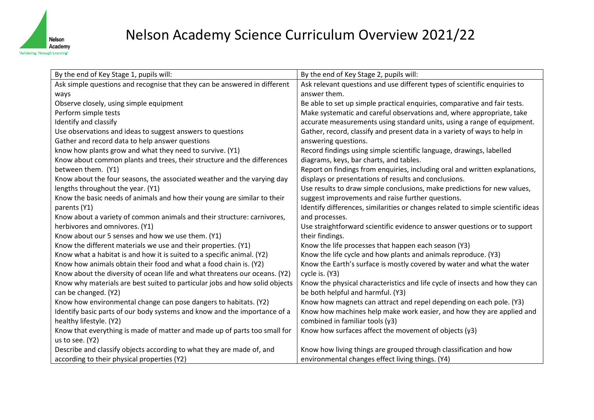

| By the end of Key Stage 1, pupils will:                                     | By the end of Key Stage 2, pupils will:                                          |
|-----------------------------------------------------------------------------|----------------------------------------------------------------------------------|
| Ask simple questions and recognise that they can be answered in different   | Ask relevant questions and use different types of scientific enquiries to        |
| ways                                                                        | answer them.                                                                     |
| Observe closely, using simple equipment                                     | Be able to set up simple practical enquiries, comparative and fair tests.        |
| Perform simple tests                                                        | Make systematic and careful observations and, where appropriate, take            |
| Identify and classify                                                       | accurate measurements using standard units, using a range of equipment.          |
| Use observations and ideas to suggest answers to questions                  | Gather, record, classify and present data in a variety of ways to help in        |
| Gather and record data to help answer questions                             | answering questions.                                                             |
| know how plants grow and what they need to survive. (Y1)                    | Record findings using simple scientific language, drawings, labelled             |
| Know about common plants and trees, their structure and the differences     | diagrams, keys, bar charts, and tables.                                          |
| between them. (Y1)                                                          | Report on findings from enquiries, including oral and written explanations,      |
| Know about the four seasons, the associated weather and the varying day     | displays or presentations of results and conclusions.                            |
| lengths throughout the year. (Y1)                                           | Use results to draw simple conclusions, make predictions for new values,         |
| Know the basic needs of animals and how their young are similar to their    | suggest improvements and raise further questions.                                |
| parents (Y1)                                                                | Identify differences, similarities or changes related to simple scientific ideas |
| Know about a variety of common animals and their structure: carnivores,     | and processes.                                                                   |
| herbivores and omnivores. (Y1)                                              | Use straightforward scientific evidence to answer questions or to support        |
| Know about our 5 senses and how we use them. (Y1)                           | their findings.                                                                  |
| Know the different materials we use and their properties. (Y1)              | Know the life processes that happen each season (Y3)                             |
| Know what a habitat is and how it is suited to a specific animal. (Y2)      | Know the life cycle and how plants and animals reproduce. (Y3)                   |
| Know how animals obtain their food and what a food chain is. (Y2)           | Know the Earth's surface is mostly covered by water and what the water           |
| Know about the diversity of ocean life and what threatens our oceans. (Y2)  | cycle is. (Y3)                                                                   |
| Know why materials are best suited to particular jobs and how solid objects | Know the physical characteristics and life cycle of insects and how they can     |
| can be changed. (Y2)                                                        | be both helpful and harmful. (Y3)                                                |
| Know how environmental change can pose dangers to habitats. (Y2)            | Know how magnets can attract and repel depending on each pole. (Y3)              |
| Identify basic parts of our body systems and know and the importance of a   | Know how machines help make work easier, and how they are applied and            |
| healthy lifestyle. (Y2)                                                     | combined in familiar tools (y3)                                                  |
| Know that everything is made of matter and made up of parts too small for   | Know how surfaces affect the movement of objects (y3)                            |
| us to see. (Y2)                                                             |                                                                                  |
| Describe and classify objects according to what they are made of, and       | Know how living things are grouped through classification and how                |
| according to their physical properties (Y2)                                 | environmental changes effect living things. (Y4)                                 |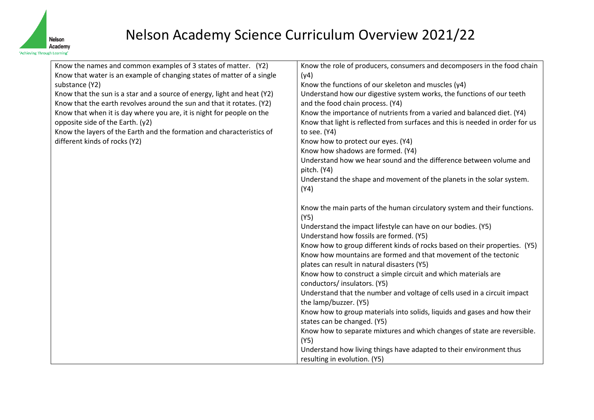

| Know the names and common examples of 3 states of matter. (Y2)          | Know the role of producers, consumers and decomposers in the food chain                                                                       |
|-------------------------------------------------------------------------|-----------------------------------------------------------------------------------------------------------------------------------------------|
| Know that water is an example of changing states of matter of a single  | (y4)                                                                                                                                          |
| substance (Y2)                                                          | Know the functions of our skeleton and muscles (y4)                                                                                           |
| Know that the sun is a star and a source of energy, light and heat (Y2) | Understand how our digestive system works, the functions of our teeth                                                                         |
| Know that the earth revolves around the sun and that it rotates. (Y2)   | and the food chain process. (Y4)                                                                                                              |
| Know that when it is day where you are, it is night for people on the   | Know the importance of nutrients from a varied and balanced diet. (Y4)                                                                        |
| opposite side of the Earth. (y2)                                        | Know that light is reflected from surfaces and this is needed in order for us                                                                 |
| Know the layers of the Earth and the formation and characteristics of   | to see. (Y4)                                                                                                                                  |
| different kinds of rocks (Y2)                                           | Know how to protect our eyes. (Y4)                                                                                                            |
|                                                                         | Know how shadows are formed. (Y4)                                                                                                             |
|                                                                         | Understand how we hear sound and the difference between volume and                                                                            |
|                                                                         | pitch. (Y4)                                                                                                                                   |
|                                                                         | Understand the shape and movement of the planets in the solar system.                                                                         |
|                                                                         | (Y4)                                                                                                                                          |
|                                                                         |                                                                                                                                               |
|                                                                         | Know the main parts of the human circulatory system and their functions.                                                                      |
|                                                                         | (Y5)                                                                                                                                          |
|                                                                         | Understand the impact lifestyle can have on our bodies. (Y5)                                                                                  |
|                                                                         | Understand how fossils are formed. (Y5)                                                                                                       |
|                                                                         | Know how to group different kinds of rocks based on their properties. (Y5)<br>Know how mountains are formed and that movement of the tectonic |
|                                                                         | plates can result in natural disasters (Y5)                                                                                                   |
|                                                                         | Know how to construct a simple circuit and which materials are                                                                                |
|                                                                         | conductors/insulators. (Y5)                                                                                                                   |
|                                                                         | Understand that the number and voltage of cells used in a circuit impact                                                                      |
|                                                                         | the lamp/buzzer. (Y5)                                                                                                                         |
|                                                                         | Know how to group materials into solids, liquids and gases and how their                                                                      |
|                                                                         | states can be changed. (Y5)                                                                                                                   |
|                                                                         | Know how to separate mixtures and which changes of state are reversible.                                                                      |
|                                                                         | (Y5)                                                                                                                                          |
|                                                                         | Understand how living things have adapted to their environment thus                                                                           |
|                                                                         | resulting in evolution. (Y5)                                                                                                                  |